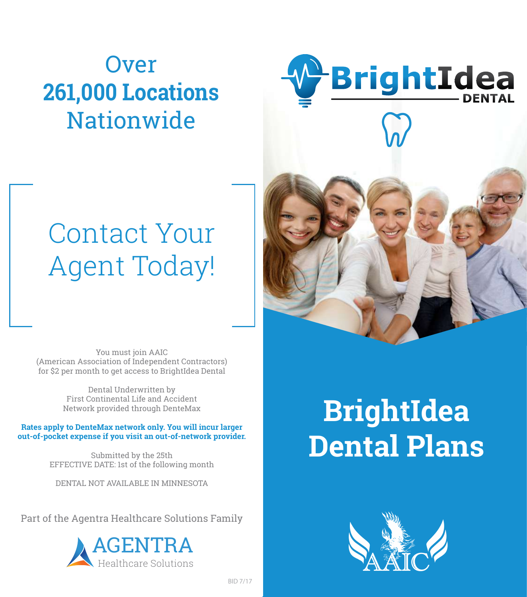# **Over 261,000 Locations Nationwide**



# Contact Your Agent Today!

You must join AAIC (American Association of Independent Contractors) for \$2 per month to get access to BrightIdea Dental

> Dental Underwritten by First Continental Life and Accident Network provided through DenteMax

**Rates apply to DenteMax network only. You will incur larger out-of-pocket expense if you visit an out-of-network provider.**

> Submitted by the 25th EFFECTIVE DATE: 1st of the following month

DENTAL NOT AVAILABLE IN MINNESOTA

Part of the Agentra Healthcare Solutions Family



# **BrightIdea Dental Plans**